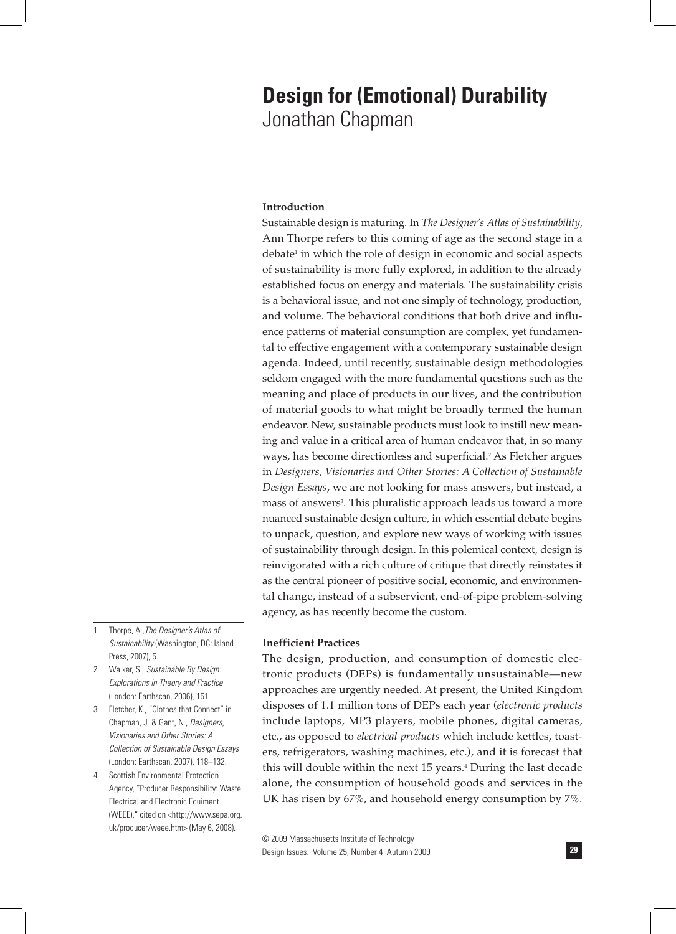# **Design for (Emotional) Durability** Jonathan Chapman

#### **Introduction**

Sustainable design is maturing. In *The Designer's Atlas of Sustainability*, Ann Thorpe refers to this coming of age as the second stage in a debate<sup>1</sup> in which the role of design in economic and social aspects of sustainability is more fully explored, in addition to the already established focus on energy and materials. The sustainability crisis is a behavioral issue, and not one simply of technology, production, and volume. The behavioral conditions that both drive and influence patterns of material consumption are complex, yet fundamental to effective engagement with a contemporary sustainable design agenda. Indeed, until recently, sustainable design methodologies seldom engaged with the more fundamental questions such as the meaning and place of products in our lives, and the contribution of material goods to what might be broadly termed the human endeavor. New, sustainable products must look to instill new meaning and value in a critical area of human endeavor that, in so many ways, has become directionless and superficial.<sup>2</sup> As Fletcher argues in *Designers, Visionaries and Other Stories: A Collection of Sustainable Design Essays*, we are not looking for mass answers, but instead, a mass of answers<sup>3</sup>. This pluralistic approach leads us toward a more nuanced sustainable design culture, in which essential debate begins to unpack, question, and explore new ways of working with issues of sustainability through design. In this polemical context, design is reinvigorated with a rich culture of critique that directly reinstates it as the central pioneer of positive social, economic, and environmental change, instead of a subservient, end-of-pipe problem-solving agency, as has recently become the custom.

- 1 Thorpe, A.,*The Designer's Atlas of Sustainability* (Washington, DC: Island Press, 2007), 5.
- 2 Walker, S., *Sustainable By Design: Explorations in Theory and Practice* (London: Earthscan, 2006), 151.
- 3 Fletcher, K., "Clothes that Connect" in Chapman, J. & Gant, N., *Designers, Visionaries and Other Stories: A Collection of Sustainable Design Essays* (London: Earthscan, 2007), 118–132.
- 4 Scottish Environmental Protection Agency, "Producer Responsibility: Waste Electrical and Electronic Equiment (WEEE)," cited on <http://www.sepa.org. uk/producer/weee.htm> (May 6, 2008).

#### **Inefficient Practices**

The design, production, and consumption of domestic electronic products (DEPs) is fundamentally unsustainable—new approaches are urgently needed. At present, the United Kingdom disposes of 1.1 million tons of DEPs each year (*electronic products* include laptops, MP3 players, mobile phones, digital cameras, etc., as opposed to *electrical products* which include kettles, toasters, refrigerators, washing machines, etc.), and it is forecast that this will double within the next 15 years.4 During the last decade alone, the consumption of household goods and services in the UK has risen by 67%, and household energy consumption by 7%.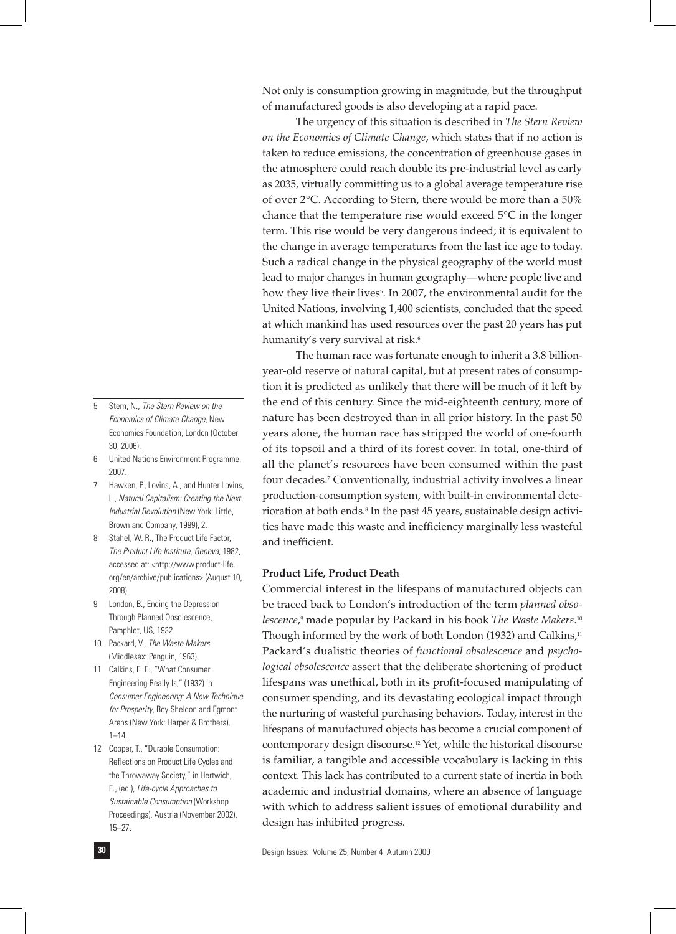- 5 Stern, N., *The Stern Review on the Economics of Climate Change*, New Economics Foundation, London (October 30, 2006).
- 6 United Nations Environment Programme, 2007.
- 7 Hawken, P., Lovins, A., and Hunter Lovins, L., *Natural Capitalism: Creating the Next Industrial Revolution* (New York: Little, Brown and Company, 1999), 2.
- 8 Stahel, W. R., The Product Life Factor, *The Product Life Institute, Geneva*, 1982, accessed at: <http://www.product-life. org/en/archive/publications> (August 10, 2008).
- 9 London, B., Ending the Depression Through Planned Obsolescence, Pamphlet, US, 1932.
- 10 Packard, V., *The Waste Makers* (Middlesex: Penguin, 1963).
- 11 Calkins, E. E., "What Consumer Engineering Really Is," (1932) in *Consumer Engineering: A New Technique for Prosperity*, Roy Sheldon and Egmont Arens (New York: Harper & Brothers),  $1 - 14.$
- 12 Cooper, T., "Durable Consumption: Reflections on Product Life Cycles and the Throwaway Society," in Hertwich, E., (ed.), *Life-cycle Approaches to Sustainable Consumption* (Workshop Proceedings), Austria (November 2002), 15–27.

Not only is consumption growing in magnitude, but the throughput of manufactured goods is also developing at a rapid pace.

The urgency of this situation is described in *The Stern Review on the Economics of Climate Change*, which states that if no action is taken to reduce emissions, the concentration of greenhouse gases in the atmosphere could reach double its pre-industrial level as early as 2035, virtually committing us to a global average temperature rise of over 2°C. According to Stern, there would be more than a 50% chance that the temperature rise would exceed 5°C in the longer term. This rise would be very dangerous indeed; it is equivalent to the change in average temperatures from the last ice age to today. Such a radical change in the physical geography of the world must lead to major changes in human geography—where people live and how they live their lives<sup>5</sup>. In 2007, the environmental audit for the United Nations, involving 1,400 scientists, concluded that the speed at which mankind has used resources over the past 20 years has put humanity's very survival at risk.<sup>6</sup>

The human race was fortunate enough to inherit a 3.8 billionyear-old reserve of natural capital, but at present rates of consumption it is predicted as unlikely that there will be much of it left by the end of this century. Since the mid-eighteenth century, more of nature has been destroyed than in all prior history. In the past 50 years alone, the human race has stripped the world of one-fourth of its topsoil and a third of its forest cover. In total, one-third of all the planet's resources have been consumed within the past four decades.7 Conventionally, industrial activity involves a linear production-consumption system, with built-in environmental deterioration at both ends.8 In the past 45 years, sustainable design activities have made this waste and inefficiency marginally less wasteful and inefficient.

## **Product Life, Product Death**

Commercial interest in the lifespans of manufactured objects can be traced back to London's introduction of the term *planned obsolescence*, *9* made popular by Packard in his book *The Waste Makers*. 10 Though informed by the work of both London (1932) and Calkins,<sup>11</sup> Packard's dualistic theories of *functional obsolescence* and *psychological obsolescence* assert that the deliberate shortening of product lifespans was unethical, both in its profit-focused manipulating of consumer spending, and its devastating ecological impact through the nurturing of wasteful purchasing behaviors. Today, interest in the lifespans of manufactured objects has become a crucial component of contemporary design discourse.12 Yet, while the historical discourse is familiar, a tangible and accessible vocabulary is lacking in this context. This lack has contributed to a current state of inertia in both academic and industrial domains, where an absence of language with which to address salient issues of emotional durability and design has inhibited progress.

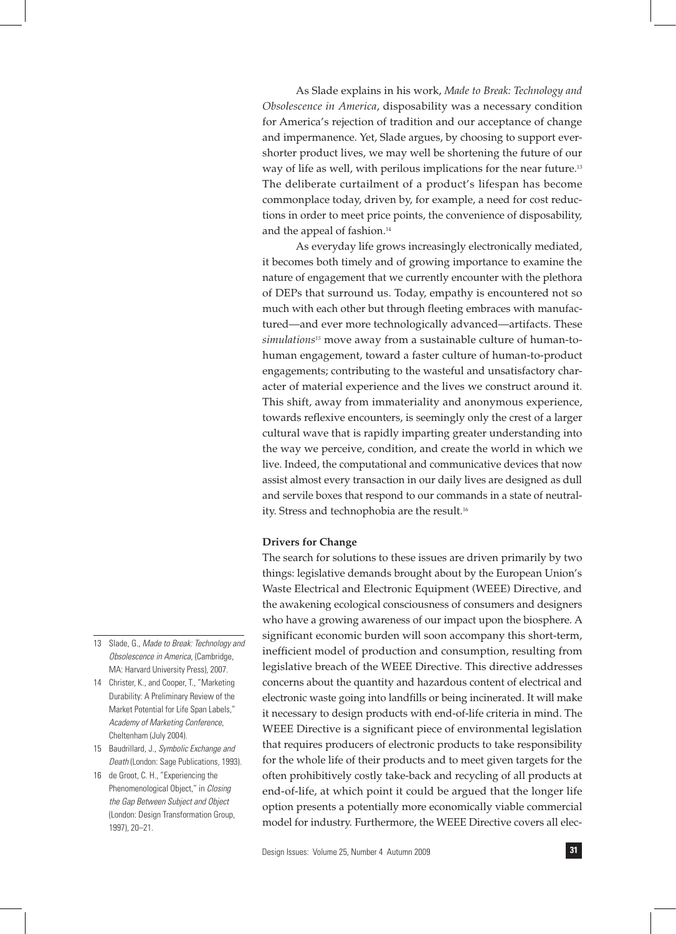As Slade explains in his work, *Made to Break: Technology and Obsolescence in America*, disposability was a necessary condition for America's rejection of tradition and our acceptance of change and impermanence. Yet, Slade argues, by choosing to support evershorter product lives, we may well be shortening the future of our way of life as well, with perilous implications for the near future.13 The deliberate curtailment of a product's lifespan has become commonplace today, driven by, for example, a need for cost reductions in order to meet price points, the convenience of disposability, and the appeal of fashion.<sup>14</sup>

As everyday life grows increasingly electronically mediated, it becomes both timely and of growing importance to examine the nature of engagement that we currently encounter with the plethora of DEPs that surround us. Today, empathy is encountered not so much with each other but through fleeting embraces with manufactured—and ever more technologically advanced—artifacts. These *simulations15* move away from a sustainable culture of human-tohuman engagement, toward a faster culture of human-to-product engagements; contributing to the wasteful and unsatisfactory character of material experience and the lives we construct around it. This shift, away from immateriality and anonymous experience, towards reflexive encounters, is seemingly only the crest of a larger cultural wave that is rapidly imparting greater understanding into the way we perceive, condition, and create the world in which we live. Indeed, the computational and communicative devices that now assist almost every transaction in our daily lives are designed as dull and servile boxes that respond to our commands in a state of neutrality. Stress and technophobia are the result.<sup>16</sup>

#### **Drivers for Change**

The search for solutions to these issues are driven primarily by two things: legislative demands brought about by the European Union's Waste Electrical and Electronic Equipment (WEEE) Directive, and the awakening ecological consciousness of consumers and designers who have a growing awareness of our impact upon the biosphere. A significant economic burden will soon accompany this short-term, inefficient model of production and consumption, resulting from legislative breach of the WEEE Directive. This directive addresses concerns about the quantity and hazardous content of electrical and electronic waste going into landfills or being incinerated. It will make it necessary to design products with end-of-life criteria in mind. The WEEE Directive is a significant piece of environmental legislation that requires producers of electronic products to take responsibility for the whole life of their products and to meet given targets for the often prohibitively costly take-back and recycling of all products at end-of-life, at which point it could be argued that the longer life option presents a potentially more economically viable commercial model for industry. Furthermore, the WEEE Directive covers all elec-

- 13 Slade, G., *Made to Break: Technology and Obsolescence in America*, (Cambridge, MA: Harvard University Press), 2007.
- 14 Christer, K., and Cooper, T., "Marketing Durability: A Preliminary Review of the Market Potential for Life Span Labels," *Academy of Marketing Conference*, Cheltenham (July 2004).
- 15 Baudrillard, J., *Symbolic Exchange and Death* (London: Sage Publications, 1993).
- 16 de Groot, C. H., "Experiencing the Phenomenological Object," in *Closing the Gap Between Subject and Object* (London: Design Transformation Group, 1997), 20–21.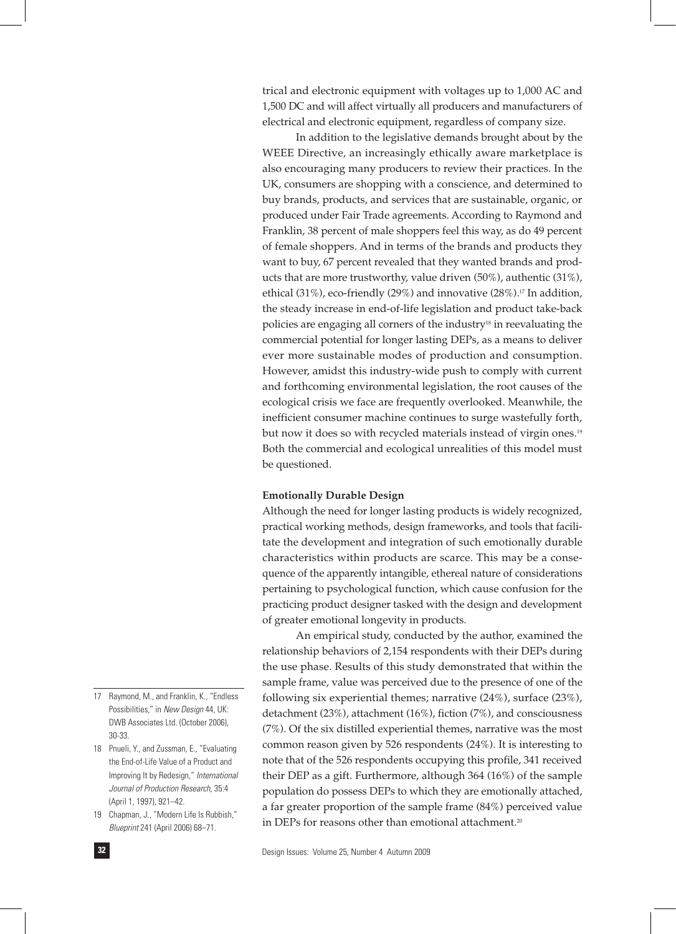trical and electronic equipment with voltages up to 1,000 AC and 1,500 DC and will affect virtually all producers and manufacturers of electrical and electronic equipment, regardless of company size.

In addition to the legislative demands brought about by the WEEE Directive, an increasingly ethically aware marketplace is also encouraging many producers to review their practices. In the UK, consumers are shopping with a conscience, and determined to buy brands, products, and services that are sustainable, organic, or produced under Fair Trade agreements. According to Raymond and Franklin, 38 percent of male shoppers feel this way, as do 49 percent of female shoppers. And in terms of the brands and products they want to buy, 67 percent revealed that they wanted brands and products that are more trustworthy, value driven (50%), authentic (31%), ethical (31%), eco-friendly (29%) and innovative (28%).<sup>17</sup> In addition, the steady increase in end-of-life legislation and product take-back policies are engaging all corners of the industry<sup>18</sup> in reevaluating the commercial potential for longer lasting DEPs, as a means to deliver ever more sustainable modes of production and consumption. However, amidst this industry-wide push to comply with current and forthcoming environmental legislation, the root causes of the ecological crisis we face are frequently overlooked. Meanwhile, the inefficient consumer machine continues to surge wastefully forth, but now it does so with recycled materials instead of virgin ones.<sup>19</sup> Both the commercial and ecological unrealities of this model must be questioned.

### **Emotionally Durable Design**

Although the need for longer lasting products is widely recognized, practical working methods, design frameworks, and tools that facilitate the development and integration of such emotionally durable characteristics within products are scarce. This may be a consequence of the apparently intangible, ethereal nature of considerations pertaining to psychological function, which cause confusion for the practicing product designer tasked with the design and development of greater emotional longevity in products.

An empirical study, conducted by the author, examined the relationship behaviors of 2,154 respondents with their DEPs during the use phase. Results of this study demonstrated that within the sample frame, value was perceived due to the presence of one of the following six experiential themes; narrative (24%), surface (23%), detachment (23%), attachment (16%), fiction (7%), and consciousness (7%). Of the six distilled experiential themes, narrative was the most common reason given by 526 respondents (24%). It is interesting to note that of the 526 respondents occupying this profile, 341 received their DEP as a gift. Furthermore, although 364 (16%) of the sample population do possess DEPs to which they are emotionally attached, a far greater proportion of the sample frame (84%) perceived value in DEPs for reasons other than emotional attachment.<sup>20</sup>

- 17 Raymond, M., and Franklin, K., "Endless Possibilities," in *New Design* 44, UK: DWB Associates Ltd. (October 2006), 30-33.
- 18 Pnueli, Y., and Zussman, E., "Evaluating the End-of-Life Value of a Product and Improving It by Redesign," *International Journal of Production Research*, 35:4 (April 1, 1997), 921–42.
- 19 Chapman, J., "Modern Life Is Rubbish," *Blueprint* 241 (April 2006) 68–71.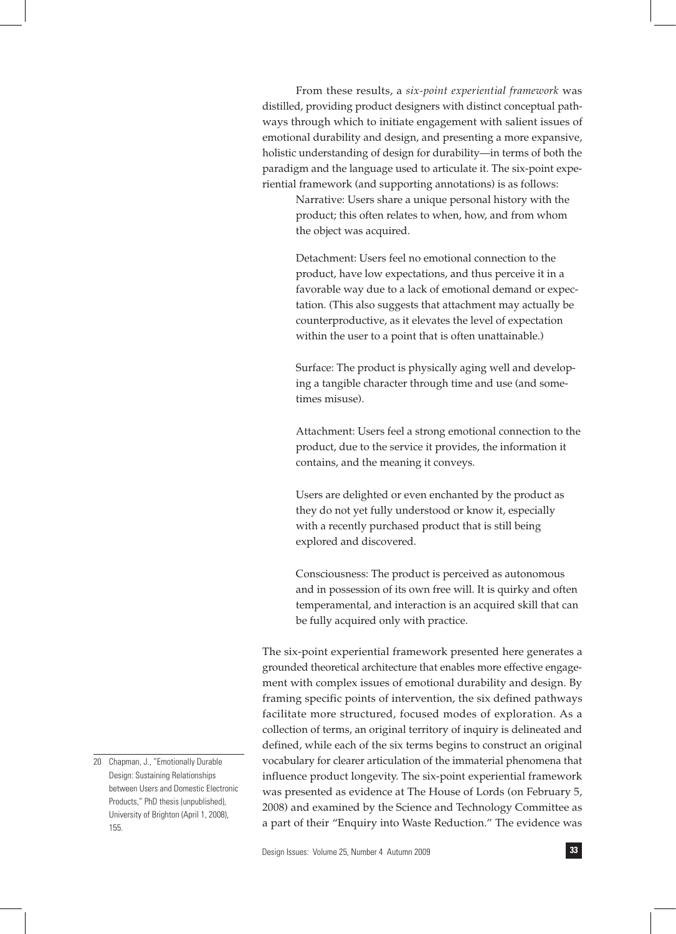From these results, a *six-point experiential framework* was distilled, providing product designers with distinct conceptual pathways through which to initiate engagement with salient issues of emotional durability and design, and presenting a more expansive, holistic understanding of design for durability—in terms of both the paradigm and the language used to articulate it. The six-point experiential framework (and supporting annotations) is as follows:

> Narrative: Users share a unique personal history with the product; this often relates to when, how, and from whom the object was acquired.

Detachment: Users feel no emotional connection to the product, have low expectations, and thus perceive it in a favorable way due to a lack of emotional demand or expectation. (This also suggests that attachment may actually be counterproductive, as it elevates the level of expectation within the user to a point that is often unattainable.)

Surface: The product is physically aging well and developing a tangible character through time and use (and sometimes misuse).

Attachment: Users feel a strong emotional connection to the product, due to the service it provides, the information it contains, and the meaning it conveys.

Users are delighted or even enchanted by the product as they do not yet fully understood or know it, especially with a recently purchased product that is still being explored and discovered.

Consciousness: The product is perceived as autonomous and in possession of its own free will. It is quirky and often temperamental, and interaction is an acquired skill that can be fully acquired only with practice.

The six-point experiential framework presented here generates a grounded theoretical architecture that enables more effective engagement with complex issues of emotional durability and design. By framing specific points of intervention, the six defined pathways facilitate more structured, focused modes of exploration. As a collection of terms, an original territory of inquiry is delineated and defined, while each of the six terms begins to construct an original vocabulary for clearer articulation of the immaterial phenomena that influence product longevity. The six-point experiential framework was presented as evidence at The House of Lords (on February 5, 2008) and examined by the Science and Technology Committee as a part of their "Enquiry into Waste Reduction." The evidence was

<sup>20</sup> Chapman, J., "Emotionally Durable Design: Sustaining Relationships between Users and Domestic Electronic Products," PhD thesis (unpublished), University of Brighton (April 1, 2008), 155.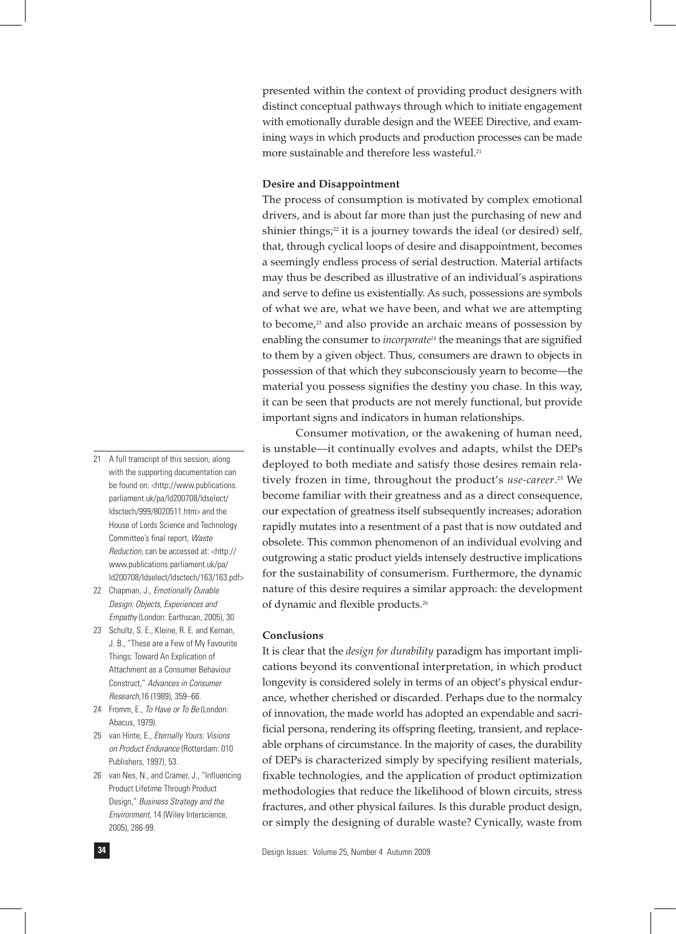presented within the context of providing product designers with distinct conceptual pathways through which to initiate engagement with emotionally durable design and the WEEE Directive, and examining ways in which products and production processes can be made more sustainable and therefore less wasteful.<sup>21</sup>

#### **Desire and Disappointment**

The process of consumption is motivated by complex emotional drivers, and is about far more than just the purchasing of new and shinier things;<sup>22</sup> it is a journey towards the ideal (or desired) self, that, through cyclical loops of desire and disappointment, becomes a seemingly endless process of serial destruction. Material artifacts may thus be described as illustrative of an individual's aspirations and serve to define us existentially. As such, possessions are symbols of what we are, what we have been, and what we are attempting to become, $23$  and also provide an archaic means of possession by enabling the consumer to *incorporate24* the meanings that are signified to them by a given object. Thus, consumers are drawn to objects in possession of that which they subconsciously yearn to become—the material you possess signifies the destiny you chase. In this way, it can be seen that products are not merely functional, but provide important signs and indicators in human relationships.

Consumer motivation, or the awakening of human need, is unstable—it continually evolves and adapts, whilst the DEPs deployed to both mediate and satisfy those desires remain relatively frozen in time, throughout the product's *use-career*. 25 We become familiar with their greatness and as a direct consequence, our expectation of greatness itself subsequently increases; adoration rapidly mutates into a resentment of a past that is now outdated and obsolete. This common phenomenon of an individual evolving and outgrowing a static product yields intensely destructive implications for the sustainability of consumerism. Furthermore, the dynamic nature of this desire requires a similar approach: the development of dynamic and flexible products.26

#### **Conclusions**

It is clear that the *design for durability* paradigm has important implications beyond its conventional interpretation, in which product longevity is considered solely in terms of an object's physical endurance, whether cherished or discarded. Perhaps due to the normalcy of innovation, the made world has adopted an expendable and sacrificial persona, rendering its offspring fleeting, transient, and replaceable orphans of circumstance. In the majority of cases, the durability of DEPs is characterized simply by specifying resilient materials, fixable technologies, and the application of product optimization methodologies that reduce the likelihood of blown circuits, stress fractures, and other physical failures. Is this durable product design, or simply the designing of durable waste? Cynically, waste from

- 21 A full transcript of this session, along with the supporting documentation can be found on: < http://www.publications. parliament.uk/pa/ld200708/ldselect/ ldsctech/999/8020511.htm> and the House of Lords Science and Technology Committee's final report, *Waste Reduction*, can be accessed at: <http:// www.publications.parliament.uk/pa/ ld200708/ldselect/ldsctech/163/163.pdf>
- 22 Chapman, J., *Emotionally Durable Design: Objects, Experiences and Empathy* (London: Earthscan, 2005), 30
- 23 Schultz, S. E., Kleine, R. E. and Kernan, J. B., "These are a Few of My Favourite Things: Toward An Explication of Attachment as a Consumer Behaviour Construct," *Advances in Consumer Research*,16 (1989), 359–66.
- 24 Fromm, E., *To Have or To Be* (London: Abacus, 1979).
- 25 van Hinte, E., *Eternally Yours: Visions on Product Endurance* (Rotterdam: 010 Publishers, 1997), 53.
- 26 van Nes, N., and Cramer, J., "Influencing Product Lifetime Through Product Design," *Business Strategy and the Environment*, 14 (Wiley Interscience, 2005), 286-99.